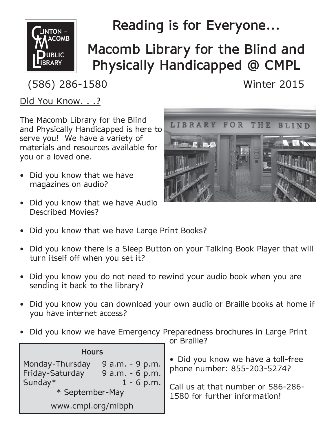

**Reading is for Everyone...**

# **Macomb Library for the Blind and Physically Handicapped @ CMPL**

(586) 286-1580 Winter 2015

Did You Know. . .?

The Macomb Library for the Blind and Physically Handicapped is here to serve you! We have a variety of materials and resources available for you or a loved one.

- Did you know that we have magazines on audio?
- Did you know that we have Audio Described Movies?
- LIBRARY FOR THE BLIND
- Did you know that we have Large Print Books?
- Did you know there is a Sleep Button on your Talking Book Player that will turn itself off when you set it?
- Did you know you do not need to rewind your audio book when you are sending it back to the library?
- Did you know you can download your own audio or Braille books at home if you have internet access?
- Did you know we have Emergency Preparedness brochures in Large Print or Braille?

**Hours** Monday-Thursday Friday-Saturday Sunday\* 9 a.m. - 9 p.m. 9 a.m. - 6 p.m. 1 - 6 p.m. \* September-May www.cmpl.org/mlbph

• Did you know we have a toll-free phone number: 855-203-5274?

Call us at that number or 586-286- 1580 for further information!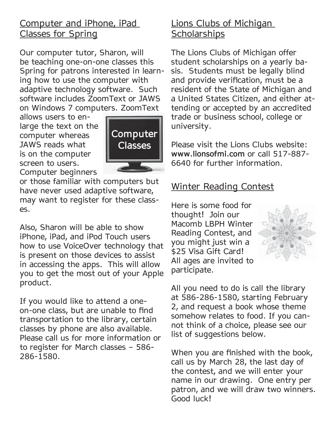## Computer and iPhone, iPad Classes for Spring

Our computer tutor, Sharon, will be teaching one-on-one classes this Spring for patrons interested in learning how to use the computer with adaptive technology software. Such software includes ZoomText or JAWS on Windows 7 computers. ZoomText

allows users to enlarge the text on the computer whereas JAWS reads what is on the computer screen to users. Computer beginners



or those familiar with computers but have never used adaptive software, may want to register for these classes.

Also, Sharon will be able to show iPhone, iPad, and iPod Touch users how to use VoiceOver technology that is present on those devices to assist in accessing the apps. This will allow you to get the most out of your Apple product.

If you would like to attend a oneon-one class, but are unable to find transportation to the library, certain classes by phone are also available. Please call us for more information or to register for March classes – 586- 286-1580.

# Lions Clubs of Michigan **Scholarships**

The Lions Clubs of Michigan offer student scholarships on a yearly basis. Students must be legally blind and provide verification, must be a resident of the State of Michigan and a United States Citizen, and either attending or accepted by an accredited trade or business school, college or university.

Please visit the Lions Clubs website: **www.lionsofmi.com** or call 517-887- 6640 for further information.

# Winter Reading Contest

Here is some food for thought! Join our Macomb LBPH Winter Reading Contest, and you might just win a \$25 Visa Gift Card! All ages are invited to participate.



All you need to do is call the library at 586-286-1580, starting February 2, and request a book whose theme somehow relates to food. If you cannot think of a choice, please see our list of suggestions below.

When you are finished with the book, call us by March 28, the last day of the contest, and we will enter your name in our drawing. One entry per patron, and we will draw two winners. Good luck!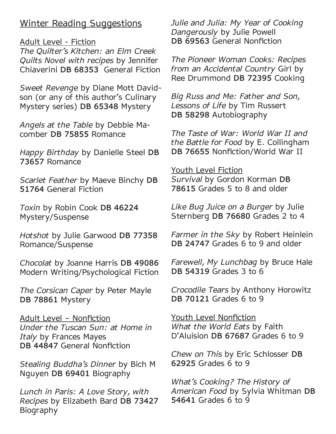#### Winter Reading Suggestions

#### Adult Level - Fiction

*The Quilter's Kitchen: an Elm Creek Quilts Novel with recipes* by Jennifer Chiaverini **DB 68353** General Fiction

*Sweet Revenge* by Diane Mott Davidson (or any of this author's Culinary Mystery series) **DB 65348** Mystery

*Angels at the Table* by Debbie Macomber **DB 75855** Romance

*Happy Birthday* by Danielle Steel **DB 73657** Romance

*Scarlet Feather* by Maeve Binchy **DB 51764** General Fiction

*Toxin* by Robin Cook **DB 46224** Mystery/Suspense

*Hotshot* by Julie Garwood **DB 77358** Romance/Suspense

*Chocolat* by Joanne Harris **DB 49086** Modern Writing/Psychological Fiction

*The Corsican Caper* by Peter Mayle **DB 78861** Mystery

Adult Level - Nonfiction *Under the Tuscan Sun: at Home in Italy* by Frances Mayes **DB 44847 General Nonfiction** 

*Stealing Buddha's Dinner* by Bich M Nguyen **DB 69401** Biography

*Lunch in Paris: A Love Story, with Recipes* by Elizabeth Bard **DB 73427** Biography

*Julie and Julia: My Year of Cooking Dangerously* by Julie Powell **DB 69563 General Nonfiction** 

*The Pioneer Woman Cooks: Recipes from an Accidental Country* Girl by Ree Drummond **DB 72395** Cooking

*Big Russ and Me: Father and Son, Lessons of Life* by Tim Russert **DB 58298** Autobiography

*The Taste of War: World War II and the Battle for Food* by E. Collingham **DB 76655 Nonfiction/World War II** 

Youth Level Fiction *Survival* by Gordon Korman **DB 78615** Grades 5 to 8 and older

*Like Bug Juice on a Burger* by Julie Sternberg **DB 76680** Grades 2 to 4

*Farmer in the Sky* by Robert Heinlein **DB 24747** Grades 6 to 9 and older

*Farewell, My Lunchbag* by Bruce Hale **DB 54319** Grades 3 to 6

*Crocodile Tears* by Anthony Horowitz **DB 70121** Grades 6 to 9

Youth Level Nonfiction *What the World Eats* by Faith D'Aluision **DB 67687** Grades 6 to 9

*Chew on This* by Eric Schlosser **DB 62925** Grades 6 to 9

*What's Cooking? The History of American Food* by Sylvia Whitman **DB 54641** Grades 6 to 9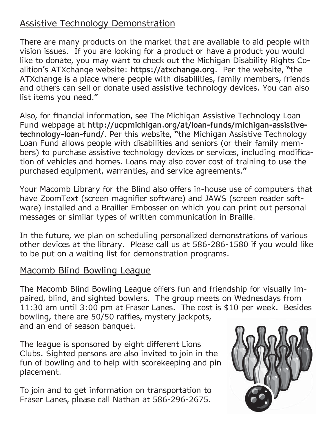# Assistive Technology Demonstration

There are many products on the market that are available to aid people with vision issues. If you are looking for a product or have a product you would like to donate, you may want to check out the Michigan Disability Rights Coalition's ATXchange website: **https://atxchange.org**. Per the website, "the ATXchange is a place where people with disabilities, family members, friends and others can sell or donate used assistive technology devices. You can also list items you need."

Also, for financial information, see The Michigan Assistive Technology Loan Fund webpage at **http://ucpmichigan.org/at/loan-funds/michigan-assistivetechnology-loan-fund/**. Per this website, "the Michigan Assistive Technology Loan Fund allows people with disabilities and seniors (or their family members) to purchase assistive technology devices or services, including modification of vehicles and homes. Loans may also cover cost of training to use the purchased equipment, warranties, and service agreements."

Your Macomb Library for the Blind also offers in-house use of computers that have ZoomText (screen magnifier software) and JAWS (screen reader software) installed and a Brailler Embosser on which you can print out personal messages or similar types of written communication in Braille.

In the future, we plan on scheduling personalized demonstrations of various other devices at the library. Please call us at 586-286-1580 if you would like to be put on a waiting list for demonstration programs.

#### Macomb Blind Bowling League

The Macomb Blind Bowling League offers fun and friendship for visually impaired, blind, and sighted bowlers. The group meets on Wednesdays from 11:30 am until 3:00 pm at Fraser Lanes. The cost is \$10 per week. Besides bowling, there are 50/50 raffles, mystery jackpots, and an end of season banquet.

The league is sponsored by eight different Lions Clubs. Sighted persons are also invited to join in the fun of bowling and to help with scorekeeping and pin placement.

To join and to get information on transportation to Fraser Lanes, please call Nathan at 586-296-2675.

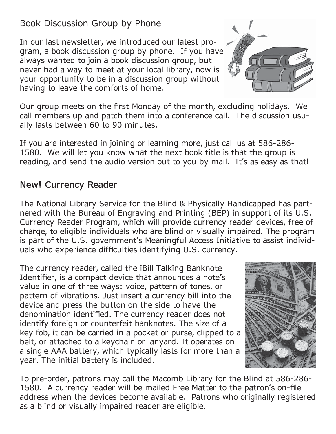# Book Discussion Group by Phone

In our last newsletter, we introduced our latest program, a book discussion group by phone. If you have always wanted to join a book discussion group, but never had a way to meet at your local library, now is your opportunity to be in a discussion group without having to leave the comforts of home.



Our group meets on the first Monday of the month, excluding holidays. We call members up and patch them into a conference call. The discussion usually lasts between 60 to 90 minutes.

If you are interested in joining or learning more, just call us at 586-286- 1580. We will let you know what the next book title is that the group is reading, and send the audio version out to you by mail. It's as easy as that!

#### **New! Currency Reader**

The National Library Service for the Blind & Physically Handicapped has partnered with the Bureau of Engraving and Printing (BEP) in support of its U.S. Currency Reader Program, which will provide currency reader devices, free of charge, to eligible individuals who are blind or visually impaired. The program is part of the U.S. government's Meaningful Access Initiative to assist individuals who experience difficulties identifying U.S. currency.

The currency reader, called the iBill Talking Banknote Identifier, is a compact device that announces a note's value in one of three ways: voice, pattern of tones, or pattern of vibrations. Just insert a currency bill into the device and press the button on the side to have the denomination identified. The currency reader does not identify foreign or counterfeit banknotes. The size of a key fob, it can be carried in a pocket or purse, clipped to a belt, or attached to a keychain or lanyard. It operates on a single AAA battery, which typically lasts for more than a year. The initial battery is included.



To pre-order, patrons may call the Macomb Library for the Blind at 586-286- 1580. A currency reader will be mailed Free Matter to the patron's on-file address when the devices become available. Patrons who originally registered as a blind or visually impaired reader are eligible.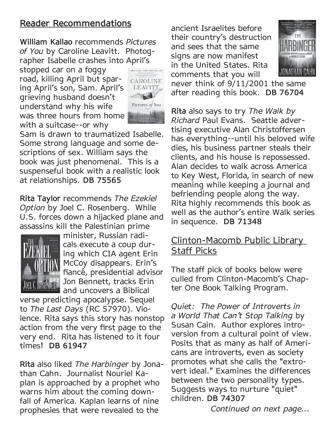### **Reader Recommendations**

**William Kallao** recommends *Pictures of You* by Caroline Leavitt. Photographer Isabelle crashes into April's

stopped car on a foggy road, killing April but sparing April's son, Sam. April's grieving husband doesn't understand why his wife was three hours from home with a suitcase--or why



Sam is drawn to traumatized Isabelle. Some strong language and some descriptions of sex. William says the book was just phenomenal. This is a suspenseful book with a realistic look at relationships. **DB 75565**

**Rita Taylor** recommends *The Ezekiel Option* by Joel C. Rosenberg. While U.S. forces down a hijacked plane and assassins kill the Palestinian prime



minister, Russian radicals execute a coup during which CIA agent Erin McCoy disappears. Erin's fiancé, presidential advisor Jon Bennett, tracks Erin and uncovers a Biblical

verse predicting apocalypse. Sequel to *The Last Days* (RC 57970). Violence. Rita says this story has nonstop action from the very first page to the very end. Rita has listened to it four times! **DB 61947**

**Rita** also liked *The Harbinger* by Jonathan Cahn. Journalist Nouriel Kaplan is approached by a prophet who warns him about the coming downfall of America. Kaplan learns of nine prophesies that were revealed to the

ancient Israelites before their country's destruction and sees that the same signs are now manifest in the United States. Rita comments that you will



never think of 9/11/2001 the same after reading this book. **DB 76704**

**Rita** also says to try *The Walk by Richard* Paul Evans. Seattle advertising executive Alan Christoffersen has everything--until his beloved wife dies, his business partner steals their clients, and his house is repossessed. Alan decides to walk across America to Key West, Florida, in search of new meaning while keeping a journal and befriending people along the way. Rita highly recommends this book as well as the author's entire Walk series in sequence. **DB 71348**

### Clinton-Macomb Public Library Staff Picks

The staff pick of books below were culled from Clinton-Macomb's Chapter One Book Talking Program.

*Quiet: The Power of Introverts in a World That Can't Stop Talking* by Susan Cain. Author explores introversion from a cultural point of view. Posits that as many as half of Americans are introverts, even as society promotes what she calls the "extrovert ideal." Examines the differences between the two personality types. Suggests ways to nurture "quiet" children. **DB 74307**

*Continued on next page...*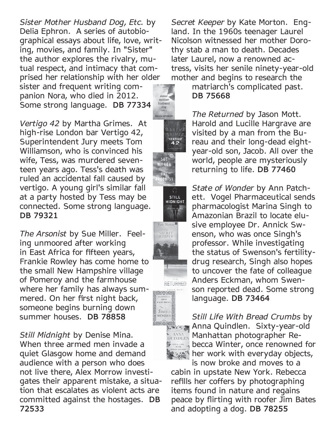*Sister Mother Husband Dog, Etc.* by Delia Ephron. A series of autobiographical essays about life, love, writing, movies, and family. In "Sister" the author explores the rivalry, mutual respect, and intimacy that comprised her relationship with her older

sister and frequent writing companion Nora, who died in 2012. Some strong language. **DB 77334**

*Vertigo 42* by Martha Grimes. At high-rise London bar Vertigo 42, Superintendent Jury meets Tom Williamson, who is convinced his wife, Tess, was murdered seventeen years ago. Tess's death was ruled an accidental fall caused by vertigo. A young girl's similar fall at a party hosted by Tess may be connected. Some strong language. **DB 79321**

*The Arsonist* by Sue Miller. Feeling unmoored after working in East Africa for fifteen years, Frankie Rowley has come home to the small New Hampshire village of Pomeroy and the farmhouse where her family has always summered. On her first night back, someone begins burning down summer houses. **DB 78858**

*Still Midnight* by Denise Mina. When three armed men invade a quiet Glasgow home and demand audience with a person who does not live there, Alex Morrow investigates their apparent mistake, a situation that escalates as violent acts are committed against the hostages. **DB 72533**

*Secret Keeper* by Kate Morton. England. In the 1960s teenager Laurel Nicolson witnessed her mother Dorothy stab a man to death. Decades later Laurel, now a renowned actress, visits her senile ninety-year-old mother and begins to research the

> matriarch's complicated past. **DB 75668**

*The Returned* by Jason Mott. Harold and Lucille Hargrave are visited by a man from the Bureau and their long-dead eightyear-old son, Jacob. All over the world, people are mysteriously returning to life. **DB 77460**

*State of Wonder* by Ann Patchett. Vogel Pharmaceutical sends pharmacologist Marina Singh to Amazonian Brazil to locate elusive employee Dr. Annick Swenson, who was once Singh's professor. While investigating the status of Swenson's fertilitydrug research, Singh also hopes to uncover the fate of colleague Anders Eckman, whom Swenson reported dead. Some strong language. **DB 73464**

*Still Life With Bread Crumbs* by **Anna Quindlen. Sixty-year-old ANNA** Manhattan photographer Re-**Example 2** becca Winter, once renowned for her work with everyday objects,

is now broke and moves to a cabin in upstate New York. Rebecca refills her coffers by photographing items found in nature and regains peace by flirting with roofer Jim Bates and adopting a dog. **DB 78255**



STILL<br>MIDNIGHT

Kate Morton

sister  $\begin{array}{c} \text{mother} \\ \text{husband} \end{array}$ 

DELIA EPHRON